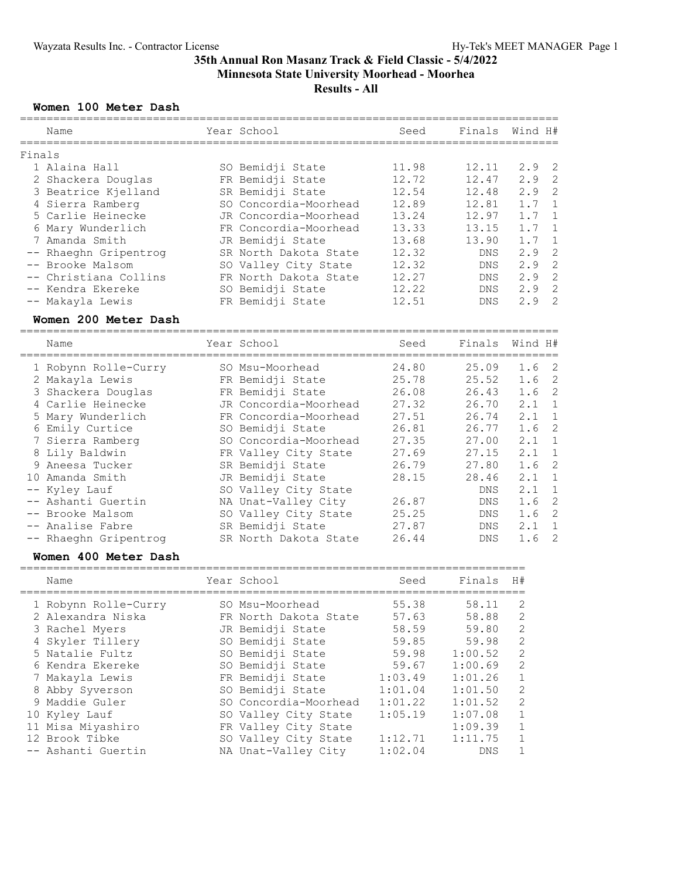### **Women 100 Meter Dash**

|        | ===========<br>Name                   | Year School<br>=============================== | -----------------------<br>Seed | Finals     | Wind H#               |
|--------|---------------------------------------|------------------------------------------------|---------------------------------|------------|-----------------------|
| Finals |                                       |                                                |                                 |            |                       |
|        | 1 Alaina Hall                         | SO Bemidji State                               | 11.98                           | 12.11      | $\overline{c}$<br>2.9 |
|        | 2 Shackera Douglas                    | FR Bemidji State                               | 12.72                           | 12.47      | $\overline{2}$<br>2.9 |
|        | 3 Beatrice Kjelland                   | SR Bemidji State                               | 12.54                           | 12.48      | $\overline{2}$<br>2.9 |
|        | 4 Sierra Ramberg                      | SO Concordia-Moorhead                          | 12.89                           | 12.81      | 1.7<br>$\mathbf{1}$   |
|        | 5 Carlie Heinecke                     | JR Concordia-Moorhead                          | 13.24                           | 12.97      | 1.7<br>$\mathbf 1$    |
|        | 6 Mary Wunderlich                     | FR Concordia-Moorhead                          | 13.33                           | 13.15      | $\mathbf{1}$<br>1.7   |
|        | 7 Amanda Smith                        | JR Bemidji State                               | 13.68                           | 13.90      | $\mathbf 1$<br>1.7    |
|        | -- Rhaeghn Gripentrog                 | SR North Dakota State                          | 12.32                           | <b>DNS</b> | $\overline{c}$<br>2.9 |
|        | -- Brooke Malsom                      | SO Valley City State                           | 12.32                           | DNS        | $\overline{c}$<br>2.9 |
|        | -- Christiana Collins                 | FR North Dakota State                          | 12.27                           | DNS        | $\overline{c}$<br>2.9 |
|        | -- Kendra Ekereke                     | SO Bemidji State                               | 12.22                           | DNS        | $\overline{c}$<br>2.9 |
|        | -- Makayla Lewis                      | FR Bemidji State                               | 12.51                           | <b>DNS</b> | $\overline{2}$<br>2.9 |
|        | Women 200 Meter Dash                  |                                                |                                 |            |                       |
|        | Name                                  | Year School                                    | Seed                            | Finals     | Wind H#               |
|        |                                       | SO Msu-Moorhead                                | 24.80                           |            | $\overline{2}$<br>1.6 |
|        |                                       |                                                |                                 | 25.09      |                       |
|        | 1 Robynn Rolle-Curry                  |                                                | 25.78                           | 25.52      | $\overline{c}$<br>1.6 |
|        | 2 Makayla Lewis<br>3 Shackera Douglas | FR Bemidji State<br>FR Bemidji State           | 26.08                           | 26.43      | $\overline{c}$<br>1.6 |
|        | 4 Carlie Heinecke                     | JR Concordia-Moorhead                          | 27.32                           | 26.70      | 2.1<br>$\mathbf 1$    |
|        | 5 Mary Wunderlich                     | FR Concordia-Moorhead                          | 27.51                           | 26.74      | 2.1<br>$\mathbf{1}$   |
|        | 6 Emily Curtice                       | SO Bemidji State                               | 26.81                           | 26.77      | $\mathbf{2}$<br>1.6   |
|        | 7 Sierra Ramberg                      | SO Concordia-Moorhead                          | 27.35                           | 27.00      | 2.1<br>$\mathbf{1}$   |
|        | 8 Lily Baldwin                        | FR Valley City State                           | 27.69                           | 27.15      | 2.1<br>$\mathbf{1}$   |
|        | 9 Aneesa Tucker                       | SR Bemidji State                               | 26.79                           | 27.80      | $\overline{c}$<br>1.6 |
|        | 10 Amanda Smith                       | JR Bemidji State                               | 28.15                           | 28.46      | $\mathbf{1}$<br>2.1   |
|        | Kyley Lauf                            | SO Valley City State                           |                                 | DNS        | 2.1<br>$\mathbf 1$    |
|        | -- Ashanti Guertin                    | NA Unat-Valley City                            | 26.87                           | DNS        | $\overline{c}$<br>1.6 |
|        | -- Brooke Malsom                      | SO Valley City State                           | 25.25                           | DNS        | $\overline{c}$<br>1.6 |
|        | -- Analise Fabre                      | SR Bemidji State                               | 27.87                           | DNS        | $\mathbf{1}$<br>2.1   |

### **Women 400 Meter Dash**

| Name                 | Year School           | Seed    | Finals  | H#           |
|----------------------|-----------------------|---------|---------|--------------|
| 1 Robynn Rolle-Curry | SO Msu-Moorhead       | 55.38   | 58.11   | 2            |
| 2 Alexandra Niska    | FR North Dakota State | 57.63   | 58.88   | 2            |
| 3 Rachel Myers       | JR Bemidji State      | 58.59   | 59.80   | 2            |
| 4 Skyler Tillery     | SO Bemidji State      | 59.85   | 59.98   | 2            |
| 5 Natalie Fultz      | SO Bemidji State      | 59.98   | 1:00.52 | 2            |
| 6 Kendra Ekereke     | SO Bemidji State      | 59.67   | 1:00.69 | 2            |
| 7 Makayla Lewis      | FR Bemidji State      | 1:03.49 | 1:01.26 | $\mathbf{1}$ |
| 8 Abby Syverson      | SO Bemidji State      | 1:01.04 | 1:01.50 | 2            |
| 9 Maddie Guler       | SO Concordia-Moorhead | 1:01.22 | 1:01.52 | 2            |
| 10 Kyley Lauf        | SO Valley City State  | 1:05.19 | 1:07.08 | $\mathbf{1}$ |
| 11 Misa Miyashiro    | FR Valley City State  |         | 1:09.39 | $\mathbf{1}$ |
| 12 Brook Tibke       | SO Valley City State  | 1:12.71 | 1:11.75 | $\mathbf{1}$ |
| -- Ashanti Guertin   | NA Unat-Valley City   | 1:02.04 | DNS     |              |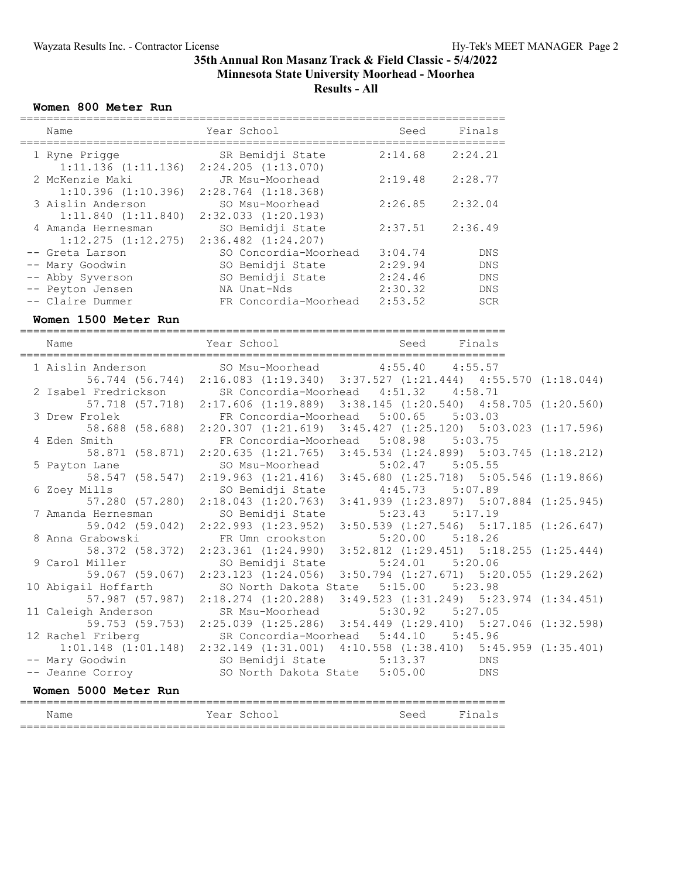### **Women 800 Meter Run**

| Name                                          | Year School                                 | Seed    | Finals     |
|-----------------------------------------------|---------------------------------------------|---------|------------|
| 1 Ryne Prigge<br>$1:11.136$ $(1:11.136)$      | SR Bemidji State<br>$2:24.205$ $(1:13.070)$ | 2:14.68 | 2:24.21    |
| 2 McKenzie Maki<br>$1:10.396$ $(1:10.396)$    | JR Msu-Moorhead<br>$2:28.764$ $(1:18.368)$  | 2:19.48 | 2:28.77    |
| 3 Aislin Anderson<br>$1:11.840$ $(1:11.840)$  | SO Msu-Moorhead<br>$2:32.033$ $(1:20.193)$  | 2:26.85 | 2:32.04    |
| 4 Amanda Hernesman<br>$1:12.275$ $(1:12.275)$ | SO Bemidji State<br>$2:36.482$ $(1:24.207)$ | 2:37.51 | 2:36.49    |
| -- Greta Larson                               | SO Concordia-Moorhead                       | 3:04.74 | <b>DNS</b> |
| -- Mary Goodwin                               | SO Bemidji State                            | 2:29.94 | <b>DNS</b> |
| -- Abby Syverson                              | SO Bemidji State                            | 2:24.46 | <b>DNS</b> |
| -- Peyton Jensen                              | NA Unat-Nds                                 | 2:30.32 | <b>DNS</b> |
| -- Claire Dummer                              | FR Concordia-Moorhead                       | 2:53.52 | <b>SCR</b> |

#### **Women 1500 Meter Run**

========================================================================= Name The Year School Contract Seed Finals ========================================================================= 1 Aislin Anderson SO Msu-Moorhead 4:55.40 4:55.57 56.744 (56.744) 2:16.083 (1:19.340) 3:37.527 (1:21.444) 4:55.570 (1:18.044) 2 Isabel Fredrickson SR Concordia-Moorhead 4:51.32 4:58.71 57.718 (57.718) 2:17.606 (1:19.889) 3:38.145 (1:20.540) 4:58.705 (1:20.560) 3 Drew Frolek FR Concordia-Moorhead 5:00.65 5:03.03 58.688 (58.688) 2:20.307 (1:21.619) 3:45.427 (1:25.120) 5:03.023 (1:17.596) 4 Eden Smith FR Concordia-Moorhead 5:08.98 5:03.75 58.871 (58.871) 2:20.635 (1:21.765) 3:45.534 (1:24.899) 5:03.745 (1:18.212) 5 Payton Lane SO Msu-Moorhead 5:02.47 5:05.55 58.547 (58.547) 2:19.963 (1:21.416) 3:45.680 (1:25.718) 5:05.546 (1:19.866) 6 Zoey Mills SO Bemidji State 4:45.73 5:07.89 57.280 (57.280) 2:18.043 (1:20.763) 3:41.939 (1:23.897) 5:07.884 (1:25.945) 7 Amanda Hernesman SO Bemidji State 5:23.43 5:17.19 59.042 (59.042) 2:22.993 (1:23.952) 3:50.539 (1:27.546) 5:17.185 (1:26.647) 8 Anna Grabowski FR Umn crookston 5:20.00 5:18.26 58.372 (58.372) 2:23.361 (1:24.990) 3:52.812 (1:29.451) 5:18.255 (1:25.444) 9 Carol Miller SO Bemidji State 5:24.01 5:20.06 59.067 (59.067) 2:23.123 (1:24.056) 3:50.794 (1:27.671) 5:20.055 (1:29.262) 10 Abigail Hoffarth SO North Dakota State 5:15.00 5:23.98 57.987 (57.987) 2:18.274 (1:20.288) 3:49.523 (1:31.249) 5:23.974 (1:34.451) 11 Caleigh Anderson SR Msu-Moorhead 5:30.92 5:27.05 59.753 (59.753) 2:25.039 (1:25.286) 3:54.449 (1:29.410) 5:27.046 (1:32.598) 12 Rachel Friberg SR Concordia-Moorhead 5:44.10 5:45.96 1:01.148 (1:01.148) 2:32.149 (1:31.001) 4:10.558 (1:38.410) 5:45.959 (1:35.401) -- Mary Goodwin SO Bemidji State 5:13.37 DNS -- Jeanne Corroy SO North Dakota State 5:05.00 DNS **Women 5000 Meter Run** ========================================================================= Name The Year School Seed Finals =========================================================================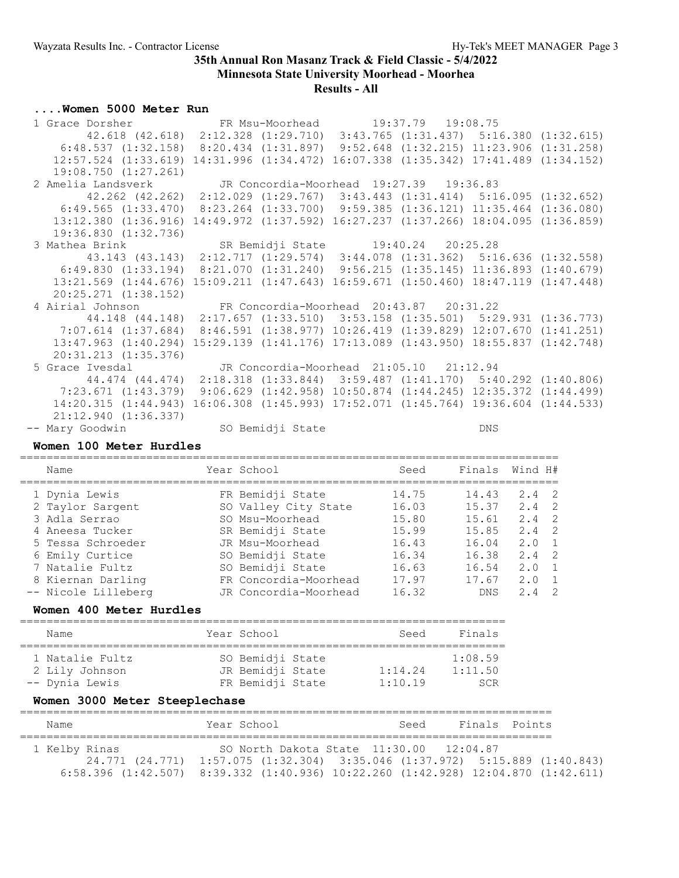### **Results - All**

### **....Women 5000 Meter Run**

| 1 Grace Dorsher FR Msu-Moorhead 19:37.79 19:08.75                                                   |  |                                                                            |  |
|-----------------------------------------------------------------------------------------------------|--|----------------------------------------------------------------------------|--|
| 42.618 (42.618) 2:12.328 (1:29.710) 3:43.765 (1:31.437) 5:16.380 (1:32.615)                         |  |                                                                            |  |
| $6:48.537$ $(1:32.158)$ $8:20.434$ $(1:31.897)$ $9:52.648$ $(1:32.215)$ $11:23.906$ $(1:31.258)$    |  |                                                                            |  |
| 12:57.524 (1:33.619) 14:31.996 (1:34.472) 16:07.338 (1:35.342) 17:41.489 (1:34.152)                 |  |                                                                            |  |
| 19:08.750(1:27.261)                                                                                 |  |                                                                            |  |
| 2 Amelia Landsverk JR Concordia-Moorhead 19:27.39 19:36.83                                          |  |                                                                            |  |
| 42.262 (42.262) 2:12.029 (1:29.767) 3:43.443 (1:31.414) 5:16.095 (1:32.652)                         |  |                                                                            |  |
| $6:49.565$ $(1:33.470)$ $8:23.264$ $(1:33.700)$ $9:59.385$ $(1:36.121)$ $11:35.464$ $(1:36.080)$    |  |                                                                            |  |
| 13:12.380 (1:36.916) 14:49.972 (1:37.592) 16:27.237 (1:37.266) 18:04.095 (1:36.859)                 |  |                                                                            |  |
| 19:36.830 (1:32.736)                                                                                |  |                                                                            |  |
| 3 Mathea Brink SR Bemidji State 19:40.24 20:25.28                                                   |  |                                                                            |  |
| 43.143 (43.143) 2:12.717 (1:29.574) 3:44.078 (1:31.362) 5:16.636 (1:32.558)                         |  |                                                                            |  |
| $6:49.830$ (1:33.194) $8:21.070$ (1:31.240) $9:56.215$ (1:35.145) 11:36.893 (1:40.679)              |  |                                                                            |  |
| $13:21.569$ $(1:44.676)$ $15:09.211$ $(1:47.643)$ $16:59.671$ $(1:50.460)$ $18:47.119$ $(1:47.448)$ |  |                                                                            |  |
| $20:25.271$ $(1:38.152)$                                                                            |  |                                                                            |  |
| 4 Airial Johnson FR Concordia-Moorhead 20:43.87 20:31.22                                            |  |                                                                            |  |
| 44.148 (44.148) 2:17.657 (1:33.510) 3:53.158 (1:35.501) 5:29.931 (1:36.773)                         |  |                                                                            |  |
| 7:07.614 (1:37.684) 8:46.591 (1:38.977) 10:26.419 (1:39.829) 12:07.670 (1:41.251)                   |  |                                                                            |  |
| 13:47.963 (1:40.294) 15:29.139 (1:41.176) 17:13.089 (1:43.950) 18:55.837 (1:42.748)                 |  |                                                                            |  |
| 20:31.213 (1:35.376)                                                                                |  |                                                                            |  |
| 5 Grace Ivesdal JR Concordia-Moorhead 21:05.10 21:12.94                                             |  |                                                                            |  |
| 44.474 (44.474) 2:18.318 (1:33.844) 3:59.487 (1:41.170) 5:40.292 (1:40.806)                         |  |                                                                            |  |
| 7:23.671 (1:43.379) 9:06.629 (1:42.958) 10:50.874 (1:44.245) 12:35.372 (1:44.499)                   |  |                                                                            |  |
| 14:20.315(1:44.943)                                                                                 |  | $16:06.308$ $(1:45.993)$ $17:52.071$ $(1:45.764)$ $19:36.604$ $(1:44.533)$ |  |
| 21:12.940 (1:36.337)                                                                                |  |                                                                            |  |
| -- Mary Goodwin SO Bemidji State                                                                    |  | <b>DNS</b>                                                                 |  |

### **Women 100 Meter Hurdles**

================================================================================= Name Year School Seed Finals Wind H# ================================================================================= 1 Dynia Lewis FR Bemidji State 14.75 14.43 2.4 2 2 Taylor Sargent SO Valley City State 16.03 15.37 2.4 2 3 Adla Serrao SO Msu-Moorhead 15.80 15.61 2.4 2 4 Aneesa Tucker SR Bemidji State 15.99 15.85 2.4 2 5 Tessa Schroeder JR Msu-Moorhead 16.43 16.04 2.0 1 6 Emily Curtice SO Bemidji State 16.34 16.38 2.4 2 7 Natalie Fultz SO Bemidji State 16.63 16.54 2.0 1 8 Kiernan Darling FR Concordia-Moorhead 17.97 17.67 2.0 1 -- Nicole Lilleberg JR Concordia-Moorhead 16.32 DNS 2.4 2

### **Women 400 Meter Hurdles**

| Name                                                | Year School                                              | Seed               | Finals                    |
|-----------------------------------------------------|----------------------------------------------------------|--------------------|---------------------------|
| 1 Natalie Fultz<br>2 Lily Johnson<br>-- Dynia Lewis | SO Bemidji State<br>JR Bemidji State<br>FR Bemidji State | 1:14.24<br>1:10.19 | 1:08.59<br>1:11.50<br>SCR |

### **Women 3000 Meter Steeplechase**

| Name          | Year School                                                                                                                                                                                                                 | Seed | Finals Points |  |
|---------------|-----------------------------------------------------------------------------------------------------------------------------------------------------------------------------------------------------------------------------|------|---------------|--|
| 1 Kelby Rinas | SO North Dakota State 11:30.00 12:04.87<br>24.771 (24.771) 1:57.075 (1:32.304) 3:35.046 (1:37.972) 5:15.889 (1:40.843)<br>$6:58.396$ $(1:42.507)$ $8:39.332$ $(1:40.936)$ $10:22.260$ $(1:42.928)$ $12:04.870$ $(1:42.611)$ |      |               |  |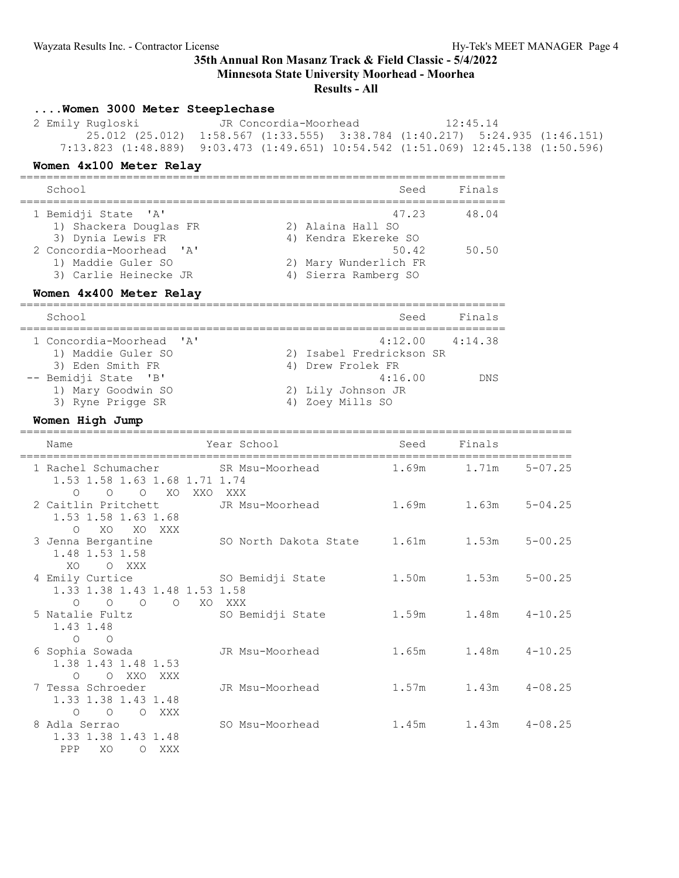# **35th Annual Ron Masanz Track & Field Classic - 5/4/2022**

**Minnesota State University Moorhead - Moorhea**

### **Results - All**

### **....Women 3000 Meter Steeplechase** 2 Emily Rugloski JR Concordia-Moorhead 12:45.14 25.012 (25.012) 1:58.567 (1:33.555) 3:38.784 (1:40.217) 5:24.935 (1:46.151) 7:13.823 (1:48.889) 9:03.473 (1:49.651) 10:54.542 (1:51.069) 12:45.138 (1:50.596) **Women 4x100 Meter Relay** ========================================================================= School Seed Finals ========================================================================= 1 Bemidji State 'A' 47.23 48.04 1) Shackera Douglas FR 2) Alaina Hall SO 3) Dynia Lewis FR 4) Kendra Ekereke SO 2 Concordia-Moorhead 'A' 50.42 50.50 1) Maddie Guler SO 2) Mary Wunderlich FR 3) Carlie Heinecke JR (4) Sierra Ramberg SO **Women 4x400 Meter Relay** ========================================================================= School Seed Finals ========================================================================= 1 Concordia-Moorhead 'A' 4:12.00 4:14.38 1) Maddie Guler SO 2) Isabel Fredrickson SR 3) Eden Smith FR 4) Drew Frolek FR -- Bemidji State 'B' 16.00 DNS 1) Mary Goodwin SO 2) Lily Johnson JR 3) Ryne Prigge SR 4) Zoey Mills SO **Women High Jump** =================================================================================== Name The Year School Contract Seed Finals =================================================================================== 1 Rachel Schumacher SR Msu-Moorhead 1.69m 1.71m 5-07.25 1.53 1.58 1.63 1.68 1.71 1.74 O O O XO XXO XXX 2 Caitlin Pritchett JR Msu-Moorhead 1.69m 1.63m 5-04.25 1.53 1.58 1.63 1.68 O XO XO XXX 3 Jenna Bergantine SO North Dakota State 1.61m 1.53m 5-00.25 1.48 1.53 1.58 XO O XXX 4 Emily Curtice SO Bemidji State 1.50m 1.53m 5-00.25

O O O O XO XXX<br>5 Natalie Fultz SO Be 1.43 1.48

1.33 1.38 1.43 1.48 1.53 1.58

| 5 Natalie Fultz<br>1.43 1.48                                                    | SO Bemidji State | 1.59m | 1.48m | $4 - 10.25$ |
|---------------------------------------------------------------------------------|------------------|-------|-------|-------------|
| $\circ$<br>$\Omega$<br>6 Sophia Sowada<br>1.38 1.43 1.48 1.53                   | JR Msu-Moorhead  | 1.65m | 1.48m | $4 - 10.25$ |
| XXX<br>XXO<br>$\bigcirc$<br>$\circ$<br>7 Tessa Schroeder<br>1.33 1.38 1.43 1.48 | JR Msu-Moorhead  | 1.57m | 1.43m | $4 - 08.25$ |
| XXX<br>$\circ$<br>$\bigcirc$<br>$\circ$<br>8 Adla Serrao<br>1.33 1.38 1.43 1.48 | SO Msu-Moorhead  | 1.45m | 1.43m | $4 - 08.25$ |
| PPP<br>XO<br>XXX<br>Ω                                                           |                  |       |       |             |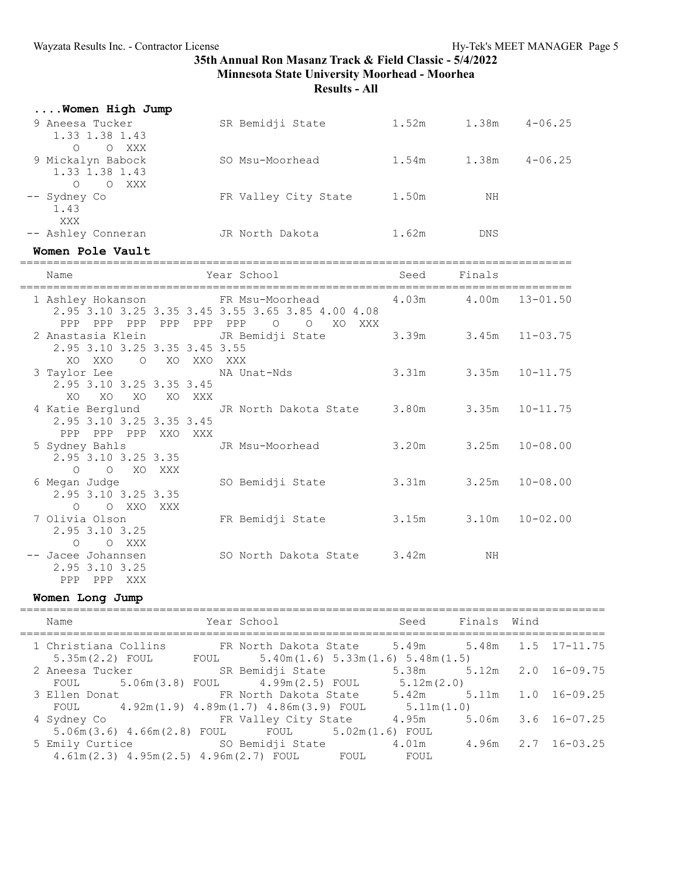**Results - All**

| Women High Jump                                         |                      |       |       |             |
|---------------------------------------------------------|----------------------|-------|-------|-------------|
| 9 Aneesa Tucker<br>1.33 1.38 1.43                       | SR Bemidji State     | 1.52m | 1.38m | $4 - 06.25$ |
| O XXX<br>$\circ$<br>9 Mickalyn Babock<br>1.33 1.38 1.43 | SO Msu-Moorhead      | 1.54m | 1.38m | $4 - 06.25$ |
| $\circ$<br>O XXX<br>-- Sydney Co<br>1.43                | FR Valley City State | 1.50m | NΗ    |             |
| XXX<br>-- Ashley Conneran                               | JR North Dakota      | 1.62m | DNS   |             |

#### **Women Pole Vault**

===================================================================================

| Name                          |              | Year School                                                                                                 | Seed  | Finals                     |                    |
|-------------------------------|--------------|-------------------------------------------------------------------------------------------------------------|-------|----------------------------|--------------------|
| ============================= |              | 1 Ashley Hokanson FR Msu-Moorhead 4.03m 4.00m 13-01.50<br>2.95 3.10 3.25 3.35 3.45 3.55 3.65 3.85 4.00 4.08 |       |                            |                    |
| PPP PPP PPP                   | PPP PPP PPP  | $\begin{matrix} 0 & 0 \\ 0 & 0 \end{matrix}$<br>XO<br>XXX                                                   |       |                            |                    |
|                               |              | 2 Anastasia Klein<br>JR Bemidji State                                                                       |       | $3.39m$ $3.45m$ $11-03.75$ |                    |
| 2.95 3.10 3.25 3.35 3.45 3.55 |              |                                                                                                             |       |                            |                    |
| XO XXO                        | O XO XXO XXX |                                                                                                             |       |                            |                    |
| 3 Taylor Lee NA Unat-Nds      |              |                                                                                                             |       | $3.31m$ $3.35m$ $10-11.75$ |                    |
| 2.95 3.10 3.25 3.35 3.45      |              |                                                                                                             |       |                            |                    |
| XO<br>XO<br>XO                | XO XXX       |                                                                                                             |       |                            |                    |
|                               |              | 4 Katie Berglund         JR North Dakota State     3.80m       3.35m   10-11.75                             |       |                            |                    |
| 2.95 3.10 3.25 3.35 3.45      |              |                                                                                                             |       |                            |                    |
| PPP PPP PPP XXO XXX           |              |                                                                                                             |       |                            |                    |
|                               |              | 5 Sydney Bahls Government JR Msu-Moorhead                                                                   | 3.20m |                            | $3.25m$ $10-08.00$ |
| 2.95 3.10 3.25 3.35           |              |                                                                                                             |       |                            |                    |
| O O XO XXX                    |              |                                                                                                             |       |                            |                    |
| 6 Megan Judge                 |              | SO Bemidji State                                                                                            |       | $3.31m$ $3.25m$ $10-08.00$ |                    |
| 2.95 3.10 3.25 3.35           |              |                                                                                                             |       |                            |                    |
| $O$ $O$ XXO                   | XXX          |                                                                                                             |       |                            |                    |
| 7 Olivia Olson                |              | FR Bemidji State                                                                                            |       | $3.15m$ $3.10m$ $10-02.00$ |                    |
| 2.95 3.10 3.25                |              |                                                                                                             |       |                            |                    |
| O O XXX                       |              |                                                                                                             |       |                            |                    |
| -- Jacee Johannsen            |              | SO North Dakota State 3.42m                                                                                 |       | NΗ                         |                    |
| 2.95 3.10 3.25                |              |                                                                                                             |       |                            |                    |
| PPP<br>PPP<br>XXX             |              |                                                                                                             |       |                            |                    |

### **Women Long Jump**

| Finals Wind<br>Year School<br>Seed<br>Name<br>1 Christiana Collins<br>FR North Dakota State 5.49m 5.48m 1.5 17-11.75<br>FOUL $5.40m(1.6) 5.33m(1.6) 5.48m(1.5)$<br>$5.35m(2.2)$ FOUL<br>5.38m 5.12m 2.0 16-09.75<br>SR Bemidji State<br>2 Aneesa Tucker<br>FOUL 5.06m(3.8) FOUL 4.99m(2.5) FOUL<br>5.12m(2.0)<br>FR North Dakota State 5.42m 5.11m 1.0 16-09.25<br>3 Ellen Donat<br>FOUL 4.92m(1.9) 4.89m(1.7) 4.86m(3.9) FOUL<br>5.11m(1.0)<br>4.95m 5.06m 3.6 16-07.25<br>FR Valley City State<br>4 Sydney Co<br>$5.06m(3.6)$ $4.66m(2.8)$ FOUL FOUL $5.02m(1.6)$ FOUL<br>4.01m 4.96m 2.7 16-03.25<br>5 Emily Curtice SO Bemidji State<br>$4.61m(2.3)$ $4.95m(2.5)$ $4.96m(2.7)$ FOUL FOUL<br>FOUL |  |  |  |  |
|------------------------------------------------------------------------------------------------------------------------------------------------------------------------------------------------------------------------------------------------------------------------------------------------------------------------------------------------------------------------------------------------------------------------------------------------------------------------------------------------------------------------------------------------------------------------------------------------------------------------------------------------------------------------------------------------------|--|--|--|--|
|                                                                                                                                                                                                                                                                                                                                                                                                                                                                                                                                                                                                                                                                                                      |  |  |  |  |
|                                                                                                                                                                                                                                                                                                                                                                                                                                                                                                                                                                                                                                                                                                      |  |  |  |  |
|                                                                                                                                                                                                                                                                                                                                                                                                                                                                                                                                                                                                                                                                                                      |  |  |  |  |
|                                                                                                                                                                                                                                                                                                                                                                                                                                                                                                                                                                                                                                                                                                      |  |  |  |  |
|                                                                                                                                                                                                                                                                                                                                                                                                                                                                                                                                                                                                                                                                                                      |  |  |  |  |
|                                                                                                                                                                                                                                                                                                                                                                                                                                                                                                                                                                                                                                                                                                      |  |  |  |  |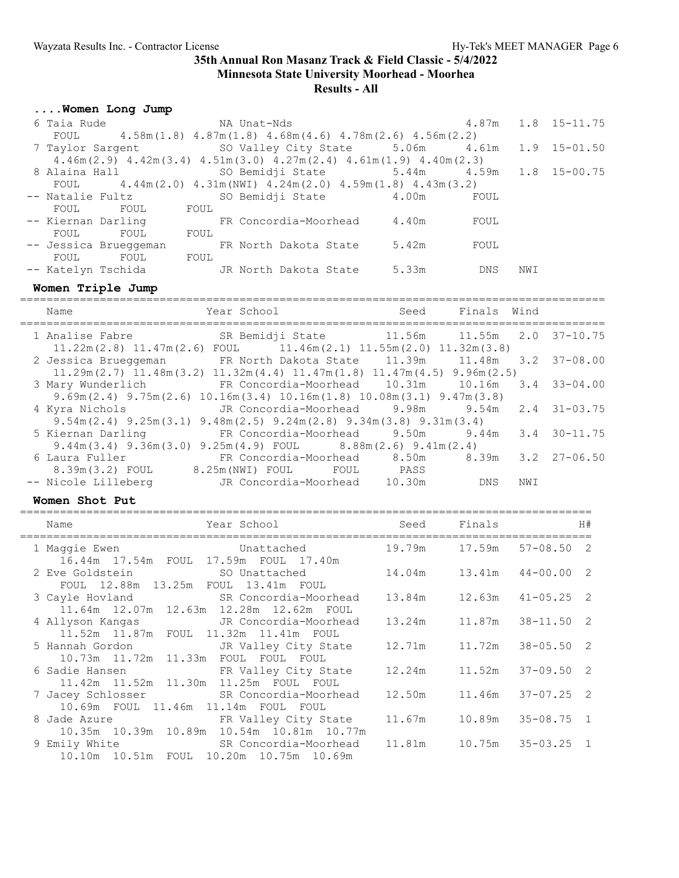## **....Women Long Jump**

| 6 Taia Rude           |                    |      | NA Unat-Nds                                                                               |       |            |     | 4.87m 1.8 15-11.75 |
|-----------------------|--------------------|------|-------------------------------------------------------------------------------------------|-------|------------|-----|--------------------|
| FOUL                  |                    |      | $4.58$ m $(1.8)$ $4.87$ m $(1.8)$ $4.68$ m $(4.6)$ $4.78$ m $(2.6)$ $4.56$ m $(2.2)$      |       |            |     |                    |
|                       |                    |      | 7 Taylor Sargent 50 Valley City State 5.06m 4.61m 1.9 15-01.50                            |       |            |     |                    |
|                       |                    |      | $4.46m(2.9)$ $4.42m(3.4)$ $4.51m(3.0)$ $4.27m(2.4)$ $4.61m(1.9)$ $4.40m(2.3)$             |       |            |     |                    |
|                       |                    |      |                                                                                           |       |            |     |                    |
|                       |                    |      | FOUL $4.44$ m $(2.0)$ $4.31$ m $(NW1)$ $4.24$ m $(2.0)$ $4.59$ m $(1.8)$ $4.43$ m $(3.2)$ |       |            |     |                    |
|                       | -- Natalie Fultz   |      | SO Bemidji State 4.00m                                                                    |       | FOUL       |     |                    |
| FOUL                  | FOUL FOUL          |      |                                                                                           |       |            |     |                    |
|                       |                    |      | -- Kiernan Darling TR Concordia-Moorhead 4.40m                                            |       | FOUL       |     |                    |
| FOUL                  | FOUL               | FOUL |                                                                                           |       |            |     |                    |
| -- Jessica Brueggeman |                    |      | FR North Dakota State 5.42m                                                               |       | FOUL       |     |                    |
| FOUL                  | FOUL               | FOUL |                                                                                           |       |            |     |                    |
|                       | -- Katelyn Tschida |      | JR North Dakota State                                                                     | 5.33m | <b>DNS</b> | NWI |                    |
|                       |                    |      |                                                                                           |       |            |     |                    |

## **Women Triple Jump**

| Name                 | Year School                                                                                                               | Seed                             | Finals Wind |     |                    |
|----------------------|---------------------------------------------------------------------------------------------------------------------------|----------------------------------|-------------|-----|--------------------|
| 1 Analise Fabre      | SR Bemidji State 11.56m 11.55m 2.0 37-10.75<br>$11.22m(2.8)$ $11.47m(2.6)$ FOUL $11.46m(2.1)$ $11.55m(2.0)$ $11.32m(3.8)$ |                                  |             |     |                    |
| 2 Jessica Brueggeman | FR North Dakota State 11.39m    11.48m   3.2   37-08.00                                                                   |                                  |             |     |                    |
|                      | $11.29m(2.7)$ $11.48m(3.2)$ $11.32m(4.4)$ $11.47m(1.8)$ $11.47m(4.5)$ $9.96m(2.5)$                                        |                                  |             |     |                    |
| 3 Mary Wunderlich    |                                                                                                                           |                                  |             |     |                    |
|                      | $9.69$ m $(2.4)$ $9.75$ m $(2.6)$ $10.16$ m $(3.4)$ $10.16$ m $(1.8)$ $10.08$ m $(3.1)$ $9.47$ m $(3.8)$                  |                                  |             |     |                    |
| 4 Kyra Nichols       | JR Concordia-Moorhead 9.98m                                                                                               |                                  | 9.54m       |     | $2.4$ $31 - 03.75$ |
|                      | $9.54$ m $(2.4)$ $9.25$ m $(3.1)$ $9.48$ m $(2.5)$ $9.24$ m $(2.8)$ $9.34$ m $(3.8)$ $9.31$ m $(3.4)$                     |                                  |             |     |                    |
| 5 Kiernan Darling    | FR Concordia-Moorhead                                                                                                     | $9.50m$ $9.44m$ $3.4$ $30-11.75$ |             |     |                    |
|                      | $9.44$ m(3.4) $9.36$ m(3.0) $9.25$ m(4.9) FOUL 8.88m(2.6) $9.41$ m(2.4)                                                   |                                  |             |     |                    |
| 6 Laura Fuller       | FR Concordia-Moorhead 8.50m 8.39m 3.2 27-06.50                                                                            |                                  |             |     |                    |
|                      | 8.39m(3.2) FOUL 8.25m(NWI) FOUL FOUL PASS                                                                                 |                                  |             |     |                    |
| -- Nicole Lilleberg  | JR Concordia-Moorhead 10.30m                                                                                              |                                  | DNS         | NWI |                    |

### **Women Shot Put**

| Year School and Seed Finals and H#<br>Name                                                                                                  |  |  |
|---------------------------------------------------------------------------------------------------------------------------------------------|--|--|
| 1 Maggie Ewen 67-08.50 Unattached 19.79m 17.59m 57-08.50 2                                                                                  |  |  |
| 16.44m  17.54m  FOUL  17.59m  FOUL  17.40m<br>2 Eve Goldstein 50 Unattached 14.04m 13.41m 44-00.00 2<br>FOUL 12.88m 13.25m FOUL 13.41m FOUL |  |  |
| 3 Cayle Hovland SR Concordia-Moorhead 13.84m 12.63m 41-05.25 2<br>11.64m 12.07m 12.63m 12.28m 12.62m FOUL                                   |  |  |
| 4 Allyson Kangas 5 JR Concordia-Moorhead 13.24m 11.87m 38-11.50 2<br>11.52m  11.87m  FOUL  11.32m  11.41m  FOUL                             |  |  |
| 5 Hannah Gordon TR Valley City State 12.71m 11.72m 38-05.50 2<br>10.73m 11.72m 11.33m FOUL FOUL FOUL                                        |  |  |
| 6 Sadie Hansen TR Valley City State 12.24m 11.52m 37-09.50 2<br>11.42m  11.52m  11.30m  11.25m  FOUL  FOUL                                  |  |  |
| 7 Jacey Schlosser SR Concordia-Moorhead 12.50m 11.46m 37-07.25 2<br>10.69m FOUL 11.46m 11.14m FOUL FOUL                                     |  |  |
| 8 Jade Azure 6 11.67m 10.89m 35-08.75 1<br>10.35m 10.39m 10.89m 10.54m 10.81m 10.77m                                                        |  |  |
| 9 Emily White SR Concordia-Moorhead 11.81m 10.75m 35-03.25 1<br>10.10m  10.51m  FOUL  10.20m  10.75m  10.69m                                |  |  |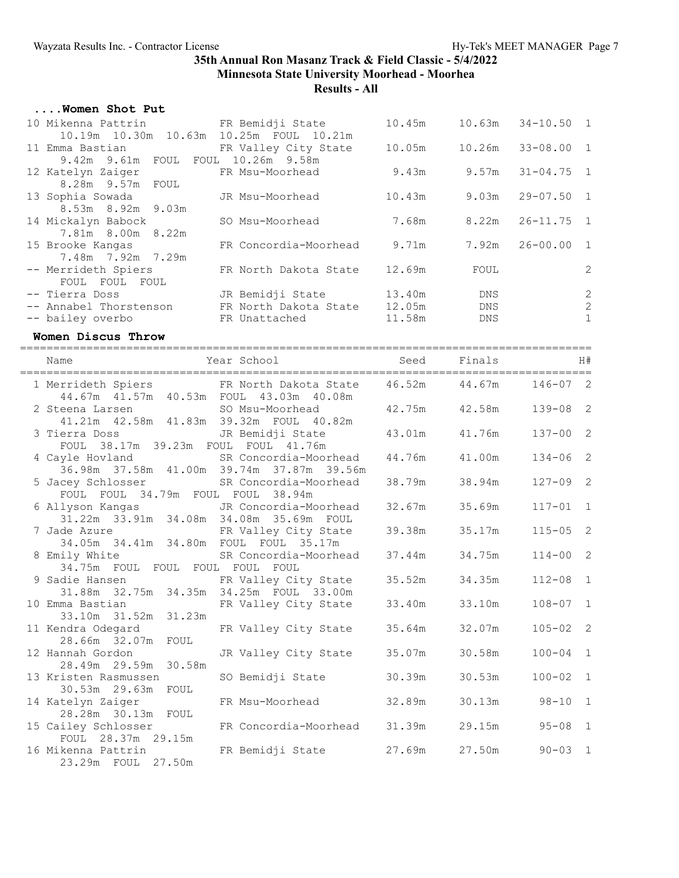## **....Women Shot Put**

| 10 Mikenna Pattrin KR Bemidji State          |                              | 10.45m |      | $10.63m$ $34-10.50$ 1 |                                       |
|----------------------------------------------|------------------------------|--------|------|-----------------------|---------------------------------------|
| 10.19m  10.30m  10.63m  10.25m  FOUL  10.21m |                              |        |      |                       |                                       |
| 11 Emma Bastian                              | FR Valley City State         | 10.05m |      | 10.26m 33-08.00 1     |                                       |
| 9.42m 9.61m FOUL FOUL 10.26m 9.58m           |                              |        |      |                       |                                       |
| 12 Katelyn Zaiger                            | FR Msu-Moorhead              | 9.43m  |      | $9.57m$ $31-04.75$ 1  |                                       |
| 8.28m 9.57m FOUL                             |                              |        |      |                       |                                       |
| 13 Sophia Sowada                             | JR Msu-Moorhead              | 10.43m |      | $9.03m$ $29-07.50$ 1  |                                       |
| 8.53m 8.92m 9.03m                            |                              |        |      |                       |                                       |
| 14 Mickalyn Babock                           | SO Msu-Moorhead              | 7.68m  |      | 8.22m  26-11.75  1    |                                       |
| 7.81m 8.00m 8.22m                            |                              |        |      |                       |                                       |
| 15 Brooke Kangas                             | FR Concordia-Moorhead 9.71m  |        |      | 7.92m 26-00.00 1      |                                       |
| 7.48m 7.92m 7.29m                            |                              |        |      |                       |                                       |
| -- Merrideth Spiers                          | FR North Dakota State        | 12.69m | FOUL |                       | $\overline{c}$                        |
| FOUL FOUL FOUL                               |                              |        |      |                       |                                       |
| -- Tierra Doss                               | JR Bemidji State 13.40m      |        | DNS  |                       | $\begin{array}{c} 2 \\ 2 \end{array}$ |
| -- Annabel Thorstenson                       | FR North Dakota State 12.05m |        | DNS  |                       |                                       |
| -- bailey overbo                             | FR Unattached                | 11.58m | DNS  |                       | $\mathbf{1}$                          |

### **Women Discus Throw**

| Name                                                                                 | Year School and Seed Finals H#               |        |                           |                |  |
|--------------------------------------------------------------------------------------|----------------------------------------------|--------|---------------------------|----------------|--|
| 1 Merrideth Spiers FR North Dakota State 46.52m 44.67m 146-07 2                      | 44.67m  41.57m  40.53m  FOUL  43.03m  40.08m |        |                           |                |  |
| 2 Steena Larsen SO Msu-Moorhead<br>41.21m  42.58m  41.83m  39.32m  FOUL  40.82m      |                                              |        | 42.75m  42.58m  139-08  2 |                |  |
| 3 Tierra Doss JR Bemidji State<br>FOUL 38.17m 39.23m FOUL FOUL 41.76m                |                                              |        | 43.01m 41.76m             | $137 - 00$ 2   |  |
| 4 Cayle Hovland<br>36.98m 37.58m 41.00m 39.74m 37.87m 39.56m                         |                                              | 44.76m | 41.00m                    | $134 - 06$ 2   |  |
| 5 Jacey Schlosser SR Concordia-Moorhead<br>FOUL FOUL 34.79m FOUL FOUL 38.94m         |                                              | 38.79m | 38.94m                    | $127 - 09$ 2   |  |
| 6 Allyson Kangas JR Concordia-Moorhead<br>31.22m 33.91m 34.08m 34.08m 35.69m FOUL    |                                              |        | 32.67m 35.69m             | $117 - 01$ 1   |  |
| 7 Jade Azure TR Valley City State<br>34.05m 34.41m 34.80m FOUL FOUL 35.17m           |                                              |        | 39.38m 35.17m             | $115 - 05$ 2   |  |
| 8 Emily White SR Concordia-Moorhead 37.44m 34.75m<br>34.75m FOUL FOUL FOUL FOUL FOUL |                                              |        |                           | $114 - 00$ 2   |  |
| 9 Sadie Hansen<br>31.88m 32.75m 34.35m 34.25m FOUL 33.00m                            |                                              | 35.52m | 34.35m                    | $112 - 08$ 1   |  |
| 10 Emma Bastian<br>33.10m 31.52m 31.23m                                              | FR Valley City State                         | 33.40m | 33.10m                    | $108 - 07$ 1   |  |
| 11 Kendra Odegard<br>28.66m 32.07m FOUL                                              | FR Valley City State                         | 35.64m | 32.07m                    | $105 - 02$ 2   |  |
| 12 Hannah Gordon<br>28.49m 29.59m 30.58m                                             | JR Valley City State                         | 35.07m | 30.58m                    | $100 - 04$ 1   |  |
| 13 Kristen Rasmussen<br>30.53m 29.63m FOUL                                           | SO Bemidji State                             | 30.39m | 30.53m                    | $100 - 02$ 1   |  |
| 14 Katelyn Zaiger<br>28.28m 30.13m FOUL                                              | FR Msu-Moorhead 32.89m                       |        |                           | 30.13m 98-10 1 |  |
| 15 Cailey Schlosser<br>FOUL 28.37m 29.15m                                            | FR Concordia-Moorhead 31.39m 29.15m          |        |                           | $95 - 08$ 1    |  |
| 16 Mikenna Pattrin<br>23.29m FOUL 27.50m                                             | FR Bemidji State 27.69m                      |        | 27.50m                    | $90 - 03$ 1    |  |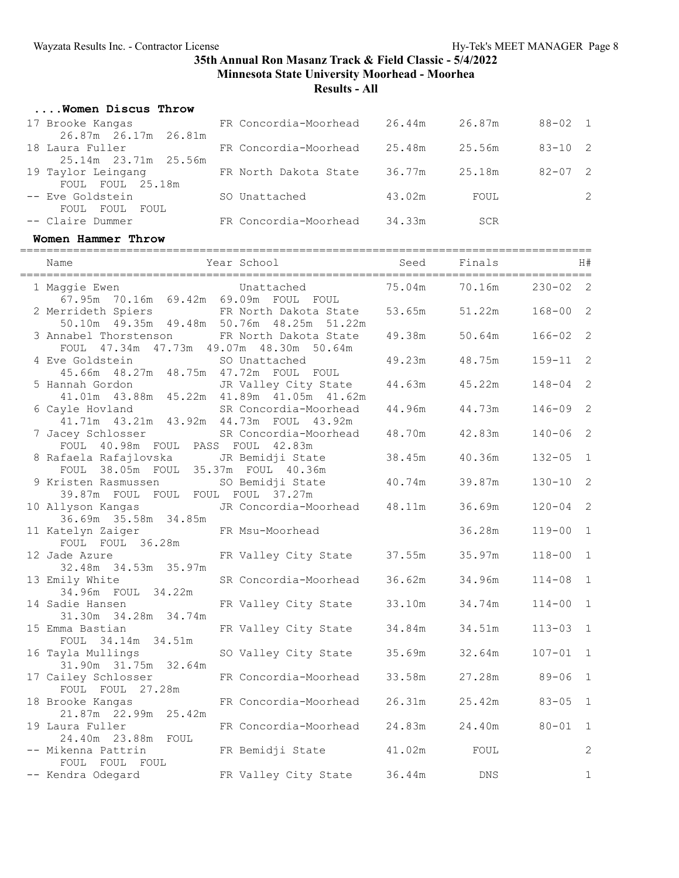### **....Women Discus Throw**

| 17 Brooke Kangas                        | FR Concordia-Moorhead | 26.44m | 26.87m | $88 - 02$ 1 |
|-----------------------------------------|-----------------------|--------|--------|-------------|
| 26.87m 26.17m 26.81m<br>18 Laura Fuller | FR Concordia-Moorhead | 25.48m | 25.56m | $83 - 10$ 2 |
| 25.14m 23.71m 25.56m                    |                       |        |        |             |
| 19 Taylor Leingang<br>FOUL FOUL 25.18m  | FR North Dakota State | 36.77m | 25.18m | $82 - 07$ 2 |
| -- Eve Goldstein                        | SO Unattached         | 43.02m | FOUL   | 2           |
| FOUL FOUL<br>FOUL<br>-- Claire Dummer   | FR Concordia-Moorhead | 34.33m | SCR    |             |

#### **Women Hammer Throw**

| Name                                                                                   | Year School and the School | Seed   | Finals |              | H#                         |
|----------------------------------------------------------------------------------------|----------------------------|--------|--------|--------------|----------------------------|
| 1 Maggie Ewen<br>67.95m 70.16m 69.42m 69.09m FOUL FOUL                                 | Unattached                 | 75.04m | 70.16m | $230 - 02$ 2 |                            |
| 2 Merrideth Spiers<br>50.10m  49.35m  49.48m  50.76m  48.25m  51.22m                   | FR North Dakota State      | 53.65m | 51.22m | $168 - 00$ 2 |                            |
| 3 Annabel Thorstenson FR North Dakota State<br>FOUL 47.34m 47.73m 49.07m 48.30m 50.64m |                            | 49.38m | 50.64m | $166 - 02$   | $\overline{\phantom{0}}^2$ |
| 4 Eve Goldstein<br>45.66m  48.27m  48.75m  47.72m  FOUL  FOUL                          | SO Unattached              | 49.23m | 48.75m | $159 - 11$   | $\overline{c}$             |
| 5 Hannah Gordon<br>41.01m  43.88m  45.22m  41.89m  41.05m  41.62m                      | JR Valley City State       | 44.63m | 45.22m | $148 - 04$   | $\overline{c}$             |
| 6 Cayle Hovland<br>41.71m  43.21m  43.92m  44.73m  FOUL  43.92m                        | SR Concordia-Moorhead      | 44.96m | 44.73m | $146 - 09$ 2 |                            |
| 7 Jacey Schlosser<br>FOUL 40.98m FOUL PASS FOUL 42.83m                                 | SR Concordia-Moorhead      | 48.70m | 42.83m | $140 - 06$   | $\overline{\phantom{0}}^2$ |
| 8 Rafaela Rafajlovska<br>FOUL 38.05m FOUL 35.37m FOUL 40.36m                           | JR Bemidji State           | 38.45m | 40.36m | $132 - 05$   | $\overline{1}$             |
| 9 Kristen Rasmussen<br>39.87m FOUL FOUL FOUL FOUL 37.27m                               | SO Bemidji State           | 40.74m | 39.87m | $130 - 10$ 2 |                            |
| 10 Allyson Kangas<br>36.69m 35.58m 34.85m                                              | JR Concordia-Moorhead      | 48.11m | 36.69m | $120 - 04$   | $\overline{c}$             |
| 11 Katelyn Zaiger<br>FOUL FOUL 36.28m                                                  | FR Msu-Moorhead            |        | 36.28m | $119 - 00$ 1 |                            |
| 12 Jade Azure<br>32.48m 34.53m 35.97m                                                  | FR Valley City State       | 37.55m | 35.97m | $118 - 00$ 1 |                            |
| 13 Emily White<br>34.96m FOUL 34.22m                                                   | SR Concordia-Moorhead      | 36.62m | 34.96m | $114 - 08$   | $\overline{1}$             |
| 14 Sadie Hansen<br>31.30m 34.28m 34.74m                                                | FR Valley City State       | 33.10m | 34.74m | $114 - 00$   | $\overline{1}$             |
| 15 Emma Bastian<br>FOUL 34.14m 34.51m                                                  | FR Valley City State       | 34.84m | 34.51m | $113 - 03$ 1 |                            |
| 16 Tayla Mullings<br>31.90m 31.75m 32.64m                                              | SO Valley City State       | 35.69m | 32.64m | $107 - 01$ 1 |                            |
| 17 Cailey Schlosser<br>FOUL FOUL 27.28m                                                | FR Concordia-Moorhead      | 33.58m | 27.28m | $89 - 06$    | $\overline{1}$             |
| 18 Brooke Kangas<br>21.87m 22.99m 25.42m                                               | FR Concordia-Moorhead      | 26.31m | 25.42m | $83 - 05$    | $\overline{1}$             |
| 19 Laura Fuller<br>24.40m  23.88m  FOUL                                                | FR Concordia-Moorhead      | 24.83m | 24.40m | $80 - 01$    | $\mathbf{1}$               |
| -- Mikenna Pattrin<br>FOUL FOUL FOUL                                                   | FR Bemidji State           | 41.02m | FOUL   |              | $\overline{c}$             |
| -- Kendra Odegard                                                                      | FR Valley City State       | 36.44m | DNS    |              | 1                          |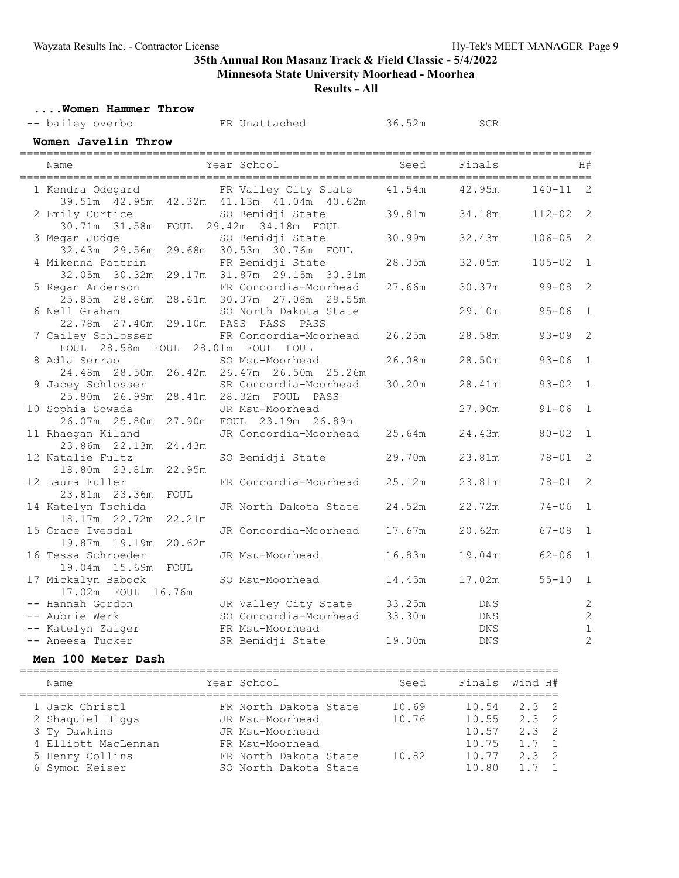# **35th Annual Ron Masanz Track & Field Classic - 5/4/2022**

**Minnesota State University Moorhead - Moorhea**

**Results - All**

|  | Women Hammer Throw |  |
|--|--------------------|--|
|  |                    |  |

| Women Hammer Throw                       |        |                                                                   |        |            |            |                |
|------------------------------------------|--------|-------------------------------------------------------------------|--------|------------|------------|----------------|
| -- bailey overbo                         |        | FR Unattached                                                     | 36.52m | <b>SCR</b> |            |                |
| Women Javelin Throw                      |        |                                                                   |        |            |            |                |
| Name                                     |        | Year School                                                       | Seed   | Finals     |            | H#             |
| 1 Kendra Odegard                         |        | FR Valley City State<br>39.51m 42.95m 42.32m 41.13m 41.04m 40.62m | 41.54m | 42.95m     | $140 - 11$ | 2              |
| 2 Emily Curtice                          |        | SO Bemidji State<br>30.71m 31.58m FOUL 29.42m 34.18m FOUL         | 39.81m | 34.18m     | $112 - 02$ | 2              |
| 3 Megan Judge                            |        | SO Bemidji State<br>32.43m 29.56m 29.68m 30.53m 30.76m FOUL       | 30.99m | 32.43m     | $106 - 05$ | 2              |
| 4 Mikenna Pattrin                        |        | FR Bemidji State<br>32.05m 30.32m 29.17m 31.87m 29.15m 30.31m     | 28.35m | 32.05m     | $105 - 02$ | $\mathbf{1}$   |
| 5 Regan Anderson                         |        | FR Concordia-Moorhead<br>28.61m 30.37m 27.08m 29.55m              | 27.66m | 30.37m     | $99 - 08$  | $\overline{c}$ |
| 6 Nell Graham<br>22.78m 27.40m           |        | SO North Dakota State<br>29.10m PASS PASS PASS                    |        | 29.10m     | $95 - 06$  | $\mathbf 1$    |
| 7 Cailey Schlosser<br>FOUL 28.58m FOUL   |        | FR Concordia-Moorhead<br>28.01m FOUL FOUL                         | 26.25m | 28.58m     | $93 - 09$  | 2              |
| 8 Adla Serrao                            |        | SO Msu-Moorhead<br>24.48m 28.50m 26.42m 26.47m 26.50m 25.26m      | 26.08m | 28.50m     | $93 - 06$  | $\mathbf{1}$   |
| 9 Jacey Schlosser<br>25.80m 26.99m       | 28.41m | SR Concordia-Moorhead<br>28.32m FOUL PASS                         | 30.20m | 28.41m     | $93 - 02$  | $\mathbf{1}$   |
| 10 Sophia Sowada<br>26.07m 25.80m        | 27.90m | JR Msu-Moorhead<br>FOUL 23.19m 26.89m                             |        | 27.90m     | $91 - 06$  | $\mathbf{1}$   |
| 11 Rhaegan Kiland<br>23.86m 22.13m       | 24.43m | JR Concordia-Moorhead                                             | 25.64m | 24.43m     | $80 - 02$  | $\mathbf{1}$   |
| 12 Natalie Fultz<br>18.80m 23.81m        | 22.95m | SO Bemidji State                                                  | 29.70m | 23.81m     | $78 - 01$  | 2              |
| 12 Laura Fuller<br>23.81m 23.36m         | FOUL   | FR Concordia-Moorhead                                             | 25.12m | 23.81m     | $78 - 01$  | 2              |
| 14 Katelyn Tschida<br>18.17m 22.72m      | 22.21m | JR North Dakota State                                             | 24.52m | 22.72m     | $74 - 06$  | $\mathbf{1}$   |
| 15 Grace Ivesdal                         | 20.62m | JR Concordia-Moorhead                                             | 17.67m | 20.62m     | $67 - 08$  | $\mathbf 1$    |
| 16 Tessa Schroeder<br>19.04m 15.69m      | FOUL   | JR Msu-Moorhead                                                   | 16.83m | 19.04m     | $62 - 06$  | $\mathbf 1$    |
| 17 Mickalyn Babock<br>17.02m FOUL 16.76m |        | SO Msu-Moorhead                                                   | 14.45m | 17.02m     | $55 - 10$  | $\mathbf 1$    |
| -- Hannah Gordon                         |        | JR Valley City State                                              | 33.25m | DNS        |            | $\sqrt{2}$     |
| -- Aubrie Werk                           |        | SO Concordia-Moorhead                                             | 33.30m | <b>DNS</b> |            | $\overline{c}$ |
| -- Katelyn Zaiger                        |        | FR Msu-Moorhead                                                   |        | DNS        |            | $\mathbf 1$    |
| -- Aneesa Tucker                         |        | SR Bemidji State                                                  | 19.00m | <b>DNS</b> |            | $\overline{c}$ |
| Men 100 Meter Dash                       |        |                                                                   |        |            |            |                |

| ______________________________<br>_______________________________ |  |  |  |  |  |  |  |  |  |  |  |  |  |  |  |
|-------------------------------------------------------------------|--|--|--|--|--|--|--|--|--|--|--|--|--|--|--|
|                                                                   |  |  |  |  |  |  |  |  |  |  |  |  |  |  |  |

| Name                                               | Year School                                                 | Seed           | Finals Wind H#          |                                             |  |
|----------------------------------------------------|-------------------------------------------------------------|----------------|-------------------------|---------------------------------------------|--|
| 1 Jack Christl<br>2 Shaquiel Higgs<br>3 Ty Dawkins | FR North Dakota State<br>JR Msu-Moorhead<br>JR Msu-Moorhead | 10.69<br>10.76 | 10.54<br>10.55<br>10.57 | $2.3 \t2$<br>$2.3 \quad 2$<br>$2.3 \quad 2$ |  |
| 4 Elliott MacLennan                                | FR Msu-Moorhead                                             |                | 10.75                   | $1.7 \quad 1$                               |  |
| 5 Henry Collins                                    | FR North Dakota State                                       | 10.82          | 10.77                   | $2.3 \quad 2$                               |  |
| 6 Symon Keiser                                     | SO North Dakota State                                       |                | 10.80                   | 1 7 1                                       |  |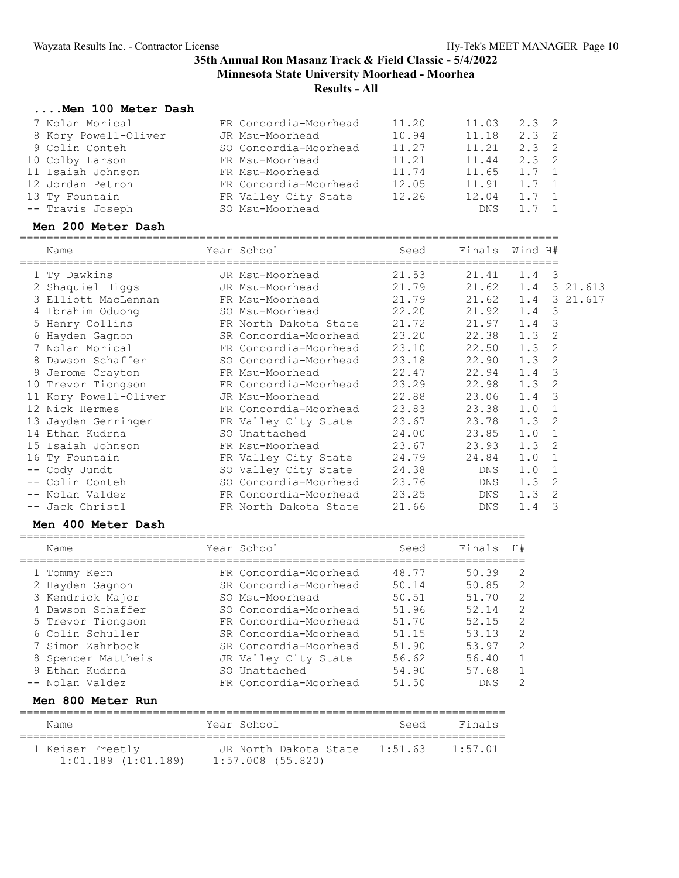### **....Men 100 Meter Dash**

| 7 Nolan Morical<br>8 Kory Powell-Oliver<br>9 Colin Conteh<br>10 Colby Larson<br>11 Isaiah Johnson<br>12 Jordan Petron<br>13 Ty Fountain<br>-- Travis Joseph | FR Concordia-Moorhead<br>JR Msu-Moorhead<br>SO Concordia-Moorhead<br>FR Msu-Moorhead<br>FR Msu-Moorhead<br>FR Concordia-Moorhead 12.05<br>FR Valley City State<br>SO Msu-Moorhead | 11.20<br>10.94<br>11.27<br>11.21<br>11.74<br>12.26 | 11.03<br>11.18<br>11.21<br>11.44<br>11.65<br>11.91<br>12.04<br>DNS | $2.3 \quad 2$<br>2.3<br>$2.3 \quad 2$<br>$2.3$ 2<br>1.7<br>$1.7 \quad 1$<br>$1.7 \quad 1$<br>$1.7 \quad 1$ | -2<br>$\mathbf{1}$      |                    |
|-------------------------------------------------------------------------------------------------------------------------------------------------------------|-----------------------------------------------------------------------------------------------------------------------------------------------------------------------------------|----------------------------------------------------|--------------------------------------------------------------------|------------------------------------------------------------------------------------------------------------|-------------------------|--------------------|
| Men 200 Meter Dash                                                                                                                                          |                                                                                                                                                                                   |                                                    |                                                                    |                                                                                                            |                         |                    |
| Name                                                                                                                                                        | Year School                                                                                                                                                                       | Seed                                               | Finals                                                             | Wind H#                                                                                                    |                         |                    |
| 1 Ty Dawkins                                                                                                                                                | JR Msu-Moorhead                                                                                                                                                                   | 21.53                                              | 21.41                                                              | $1.4 \quad 3$                                                                                              |                         |                    |
| 2 Shaquiel Higgs                                                                                                                                            | JR Msu-Moorhead                                                                                                                                                                   | 21.79                                              |                                                                    |                                                                                                            |                         | 21.62 1.4 3 21.613 |
| 3 Elliott MacLennan                                                                                                                                         | FR Msu-Moorhead                                                                                                                                                                   | 21.79                                              | 21.62                                                              |                                                                                                            |                         | 1.4 3 21.617       |
| 4 Ibrahim Oduong                                                                                                                                            | SO Msu-Moorhead                                                                                                                                                                   | 22.20                                              | 21.92                                                              | 1.4                                                                                                        | $\overline{\mathbf{3}}$ |                    |
| 5 Henry Collins                                                                                                                                             | FR North Dakota State                                                                                                                                                             | 21.72                                              | 21.97                                                              | 1.4                                                                                                        | -3                      |                    |
| 6 Hayden Gagnon                                                                                                                                             | SR Concordia-Moorhead                                                                                                                                                             | 23.20                                              | 22.38                                                              | $1.3 \quad 2$                                                                                              |                         |                    |
| 7 Nolan Morical                                                                                                                                             | FR Concordia-Moorhead                                                                                                                                                             | 23.10                                              | 22.50                                                              | 1.3                                                                                                        | -2                      |                    |
| 8 Dawson Schaffer                                                                                                                                           | SO Concordia-Moorhead                                                                                                                                                             | 23.18                                              | 22.90                                                              | $1.3$ 2                                                                                                    |                         |                    |
| 9 Jerome Crayton                                                                                                                                            | FR Msu-Moorhead                                                                                                                                                                   | 22.47                                              | 22.94                                                              | 1.4                                                                                                        | -3                      |                    |
| 10 Trevor Tiongson                                                                                                                                          | FR Concordia-Moorhead                                                                                                                                                             | 23.29                                              | 22.98                                                              | 1.3                                                                                                        | -2                      |                    |
| 11 Kory Powell-Oliver                                                                                                                                       | JR Msu-Moorhead                                                                                                                                                                   | 22.88                                              | 23.06                                                              | 1.4                                                                                                        | $\overline{\mathbf{3}}$ |                    |
| 12 Nick Hermes                                                                                                                                              | FR Concordia-Moorhead                                                                                                                                                             | 23.83                                              | 23.38                                                              | 1.0                                                                                                        | $\mathbf{1}$            |                    |
| 13 Jayden Gerringer                                                                                                                                         | FR Valley City State                                                                                                                                                              | 23.67                                              | 23.78                                                              | 1.3                                                                                                        | 2                       |                    |
| 14 Ethan Kudrna                                                                                                                                             | SO Unattached                                                                                                                                                                     | 24.00                                              | 23.85                                                              | 1.0                                                                                                        | $\mathbf{1}$            |                    |
| 15 Isaiah Johnson                                                                                                                                           | FR Msu-Moorhead                                                                                                                                                                   | 23.67                                              | 23.93                                                              | 1.3                                                                                                        | 2                       |                    |

| 16 Ty Fountain  | FR Valley City State  | 24.79 | 24.84 1.0 1 |           |  |
|-----------------|-----------------------|-------|-------------|-----------|--|
| -- Cody Jundt   | SO Valley City State  | 24.38 | DNS         | 1.0 1     |  |
| -- Colin Conteh | SO Concordia-Moorhead | 23.76 | DNS         | 1.3 2     |  |
| -- Nolan Valdez | FR Concordia-Moorhead | 23.25 | DNS         | 1.3 2     |  |
| -- Jack Christl | FR North Dakota State | 21.66 |             | DNS 1.4 3 |  |
|                 |                       |       |             |           |  |

### **Men 400 Meter Dash**

|  | Name                                                                                                                                                                          | Year School                                                                                                                                                                                                    | Seed                                                                          | Finals                                                                        | H#                                                                  |
|--|-------------------------------------------------------------------------------------------------------------------------------------------------------------------------------|----------------------------------------------------------------------------------------------------------------------------------------------------------------------------------------------------------------|-------------------------------------------------------------------------------|-------------------------------------------------------------------------------|---------------------------------------------------------------------|
|  | 1 Tommy Kern<br>2 Hayden Gagnon<br>3 Kendrick Major<br>4 Dawson Schaffer<br>5 Trevor Tiongson<br>6 Colin Schuller<br>7 Simon Zahrbock<br>8 Spencer Mattheis<br>9 Ethan Kudrna | FR Concordia-Moorhead<br>SR Concordia-Moorhead<br>SO Msu-Moorhead<br>SO Concordia-Moorhead<br>FR Concordia-Moorhead<br>SR Concordia-Moorhead<br>SR Concordia-Moorhead<br>JR Valley City State<br>SO Unattached | 48.77<br>50.14<br>50.51<br>51.96<br>51.70<br>51.15<br>51.90<br>56.62<br>54.90 | 50.39<br>50.85<br>51.70<br>52.14<br>52.15<br>53.13<br>53.97<br>56.40<br>57.68 | 2<br>2<br>$\overline{2}$<br>$\overline{2}$<br>2<br>2<br>2<br>1<br>1 |
|  | -- Nolan Valdez                                                                                                                                                               | FR Concordia-Moorhead                                                                                                                                                                                          | 51.50                                                                         | <b>DNS</b>                                                                    | 2                                                                   |
|  |                                                                                                                                                                               |                                                                                                                                                                                                                |                                                                               |                                                                               |                                                                     |

### **Men 800 Meter Run**

| Name                                        | Year School                                | Seed    | Finals  |
|---------------------------------------------|--------------------------------------------|---------|---------|
| 1 Keiser Freetly<br>$1:01.189$ $(1:01.189)$ | JR North Dakota State<br>1:57.008 (55.820) | 1:51.63 | 1:57.01 |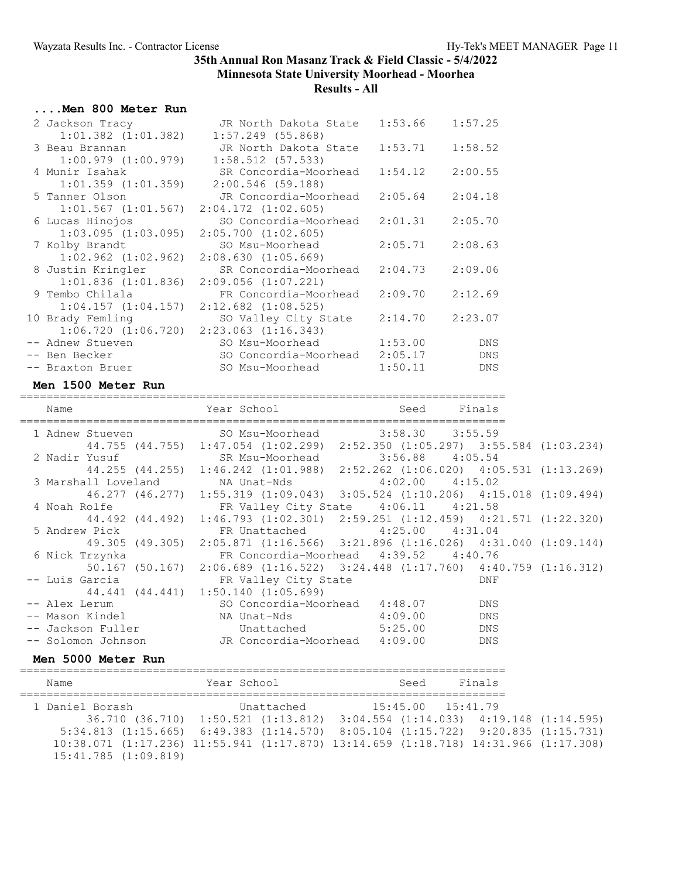### **....Men 800 Meter Run**

| 2 Jackson Tracy         | JR North Dakota State   | 1:53.66 | 1:57.25    |
|-------------------------|-------------------------|---------|------------|
| $1:01.382$ $(1:01.382)$ | $1:57.249$ (55.868)     |         |            |
| 3 Beau Brannan          | JR North Dakota State   | 1:53.71 | 1:58.52    |
| $1:00.979$ $(1:00.979)$ | $1:58.512$ (57.533)     |         |            |
| 4 Munir Isahak          | SR Concordia-Moorhead   | 1:54.12 | 2:00.55    |
| $1:01.359$ $(1:01.359)$ | 2:00.546 (59.188)       |         |            |
| 5 Tanner Olson          | JR Concordia-Moorhead   | 2:05.64 | 2:04.18    |
| $1:01.567$ $(1:01.567)$ | $2:04.172$ $(1:02.605)$ |         |            |
| 6 Lucas Hinojos         | SO Concordia-Moorhead   | 2:01.31 | 2:05.70    |
| $1:03.095$ $(1:03.095)$ | $2:05.700$ $(1:02.605)$ |         |            |
| 7 Kolby Brandt          | SO Msu-Moorhead         | 2:05.71 | 2:08.63    |
| $1:02.962$ $(1:02.962)$ | 2:08.630(1:05.669)      |         |            |
| 8 Justin Kringler       | SR Concordia-Moorhead   | 2:04.73 | 2:09.06    |
| $1:01.836$ $(1:01.836)$ | $2:09.056$ $(1:07.221)$ |         |            |
| 9 Tembo Chilala         | FR Concordia-Moorhead   | 2:09.70 | 2:12.69    |
| $1:04.157$ $(1:04.157)$ | $2:12.682$ $(1:08.525)$ |         |            |
| 10 Brady Femling        | SO Valley City State    | 2:14.70 | 2:23.07    |
| 1:06.720(1:06.720)      | $2:23.063$ $(1:16.343)$ |         |            |
| -- Adnew Stueven        | SO Msu-Moorhead         | 1:53.00 | <b>DNS</b> |
| -- Ben Becker           | SO Concordia-Moorhead   | 2:05.17 | <b>DNS</b> |
| -- Braxton Bruer        | SO Msu-Moorhead         | 1:50.11 | <b>DNS</b> |

#### **Men 1500 Meter Run**

========================================================================= Name Year School ========================================================================= 1 Adnew Stueven SO Msu-Moorhead 3:58.30 3:55.59 44.755 (44.755) 1:47.054 (1:02.299) 2:52.350 (1:05.297) 3:55.584 (1:03.234) 2 Nadir Yusuf SR Msu-Moorhead 3:56.88 4:05.54 44.255 (44.255) 1:46.242 (1:01.988) 2:52.262 (1:06.020) 4:05.531 (1:13.269) 3 Marshall Loveland NA Unat-Nds 4:02.00 4:15.02 46.277 (46.277) 1:55.319 (1:09.043) 3:05.524 (1:10.206) 4:15.018 (1:09.494) 4 Noah Rolfe FR Valley City State 4:06.11 4:21.58 44.492 (44.492) 1:46.793 (1:02.301) 2:59.251 (1:12.459) 4:21.571 (1:22.320) 5 Andrew Pick FR Unattached 4:25.00 4:31.04 49.305 (49.305) 2:05.871 (1:16.566) 3:21.896 (1:16.026) 4:31.040 (1:09.144) 6 Nick Trzynka FR Concordia-Moorhead 4:39.52 4:40.76 50.167 (50.167) 2:06.689 (1:16.522) 3:24.448 (1:17.760) 4:40.759 (1:16.312) -- Luis Garcia The Revalley City State The Solution of the DNF 44.441 (44.441) 1:50.140 (1:05.699) -- Alex Lerum SO Concordia-Moorhead 4:48.07 DNS -- Mason Kindel NA Unat-Nds 4:09.00 DNS -- Jackson Fuller Unattached 5:25.00 DNS -- Solomon Johnson JR Concordia-Moorhead 4:09.00 DNS

#### **Men 5000 Meter Run**

========================================================================= Name The Year School Control Seed Finals ========================================================================= 1 Daniel Borash Unattached 15:45.00 15:41.79 36.710 (36.710) 1:50.521 (1:13.812) 3:04.554 (1:14.033) 4:19.148 (1:14.595) 5:34.813 (1:15.665) 6:49.383 (1:14.570) 8:05.104 (1:15.722) 9:20.835 (1:15.731) 10:38.071 (1:17.236) 11:55.941 (1:17.870) 13:14.659 (1:18.718) 14:31.966 (1:17.308) 15:41.785 (1:09.819)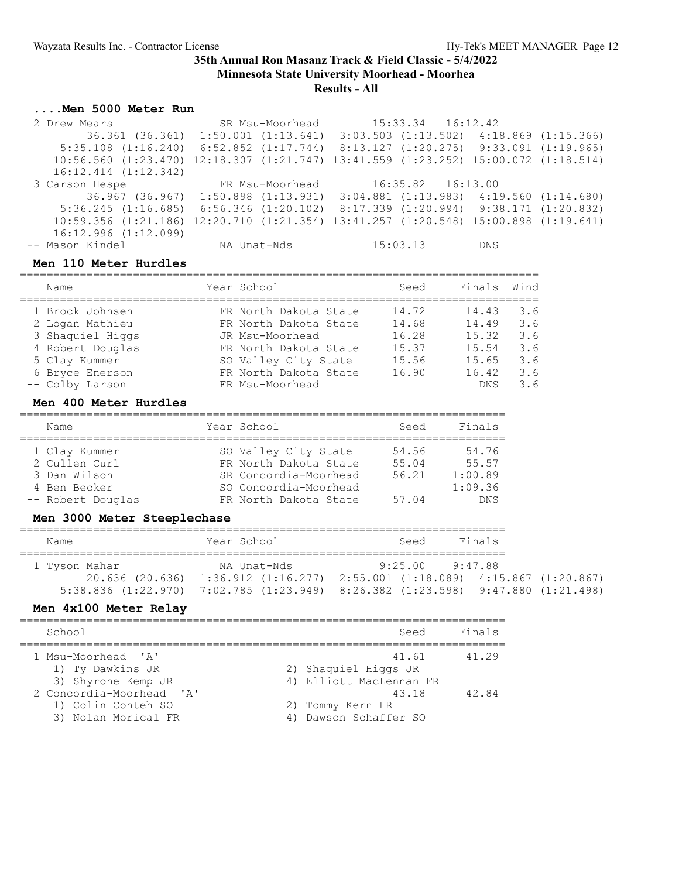### **Results - All**

### **....Men 5000 Meter Run**

 2 Drew Mears SR Msu-Moorhead 15:33.34 16:12.42 36.361 (36.361) 1:50.001 (1:13.641) 3:03.503 (1:13.502) 4:18.869 (1:15.366) 5:35.108 (1:16.240) 6:52.852 (1:17.744) 8:13.127 (1:20.275) 9:33.091 (1:19.965) 10:56.560 (1:23.470) 12:18.307 (1:21.747) 13:41.559 (1:23.252) 15:00.072 (1:18.514) 16:12.414 (1:12.342) 3 Carson Hespe FR Msu-Moorhead 16:35.82 16:13.00 36.967 (36.967) 1:50.898 (1:13.931) 3:04.881 (1:13.983) 4:19.560 (1:14.680) 5:36.245 (1:16.685) 6:56.346 (1:20.102) 8:17.339 (1:20.994) 9:38.171 (1:20.832) 10:59.356 (1:21.186) 12:20.710 (1:21.354) 13:41.257 (1:20.548) 15:00.898 (1:19.641) 16:12.996 (1:12.099) -- Mason Kindel NA Unat-Nds 15:03.13 DNS

#### **Men 110 Meter Hurdles**

| Name                                                                                                                              | Year School                                                                                                                                                    | Seed                                               | Finals                                                           | Wind                                          |
|-----------------------------------------------------------------------------------------------------------------------------------|----------------------------------------------------------------------------------------------------------------------------------------------------------------|----------------------------------------------------|------------------------------------------------------------------|-----------------------------------------------|
| 1 Brock Johnsen<br>2 Logan Mathieu<br>3 Shaquiel Higgs<br>4 Robert Douglas<br>5 Clay Kummer<br>6 Bryce Enerson<br>-- Colby Larson | FR North Dakota State<br>FR North Dakota State<br>JR Msu-Moorhead<br>FR North Dakota State<br>SO Valley City State<br>FR North Dakota State<br>FR Msu-Moorhead | 14.72<br>14.68<br>16.28<br>15.37<br>15.56<br>16.90 | 14.43<br>14.49<br>15.32<br>15.54<br>15.65<br>16.42<br><b>DNS</b> | 3.6<br>3.6<br>3.6<br>3.6<br>3.6<br>3.6<br>3.6 |

#### **Men 400 Meter Hurdles**

| Name              | Year School           | Seed  | Finals     |
|-------------------|-----------------------|-------|------------|
|                   |                       |       |            |
| 1 Clay Kummer     | SO Valley City State  | 54.56 | 54.76      |
| 2 Cullen Curl     | FR North Dakota State | 55.04 | 55.57      |
| 3 Dan Wilson      | SR Concordia-Moorhead | 56.21 | 1:00.89    |
| 4 Ben Becker      | SO Concordia-Moorhead |       | 1:09.36    |
| -- Robert Douglas | FR North Dakota State | 57.04 | <b>DNS</b> |

#### **Men 3000 Meter Steeplechase**

| Name                             | Year School                                                                                                                 | Seed                                                 | Finals  |  |
|----------------------------------|-----------------------------------------------------------------------------------------------------------------------------|------------------------------------------------------|---------|--|
| 1 Tyson Mahar<br>20.636 (20.636) | NA Unat-Nds<br>$1:36.912$ $(1:16.277)$<br>$5:38.836$ (1:22.970) 7:02.785 (1:23.949) 8:26.382 (1:23.598) 9:47.880 (1:21.498) | 9.25 00<br>$2:55.001$ (1:18.089) 4:15.867 (1:20.867) | 9:47.88 |  |

#### **Men 4x100 Meter Relay**

| School                                                                                                                                | Seed                                                                                                           | Finals         |
|---------------------------------------------------------------------------------------------------------------------------------------|----------------------------------------------------------------------------------------------------------------|----------------|
| 1 Msu-Moorhead 'A'<br>1) Ty Dawkins JR<br>3) Shyrone Kemp JR<br>2 Concordia-Moorhead 'A'<br>1) Colin Conteh SO<br>3) Nolan Morical FR | 41.61<br>2) Shaquiel Higgs JR<br>4) Elliott MacLennan FR<br>43.18<br>2) Tommy Kern FR<br>4) Dawson Schaffer SO | 41.29<br>42.84 |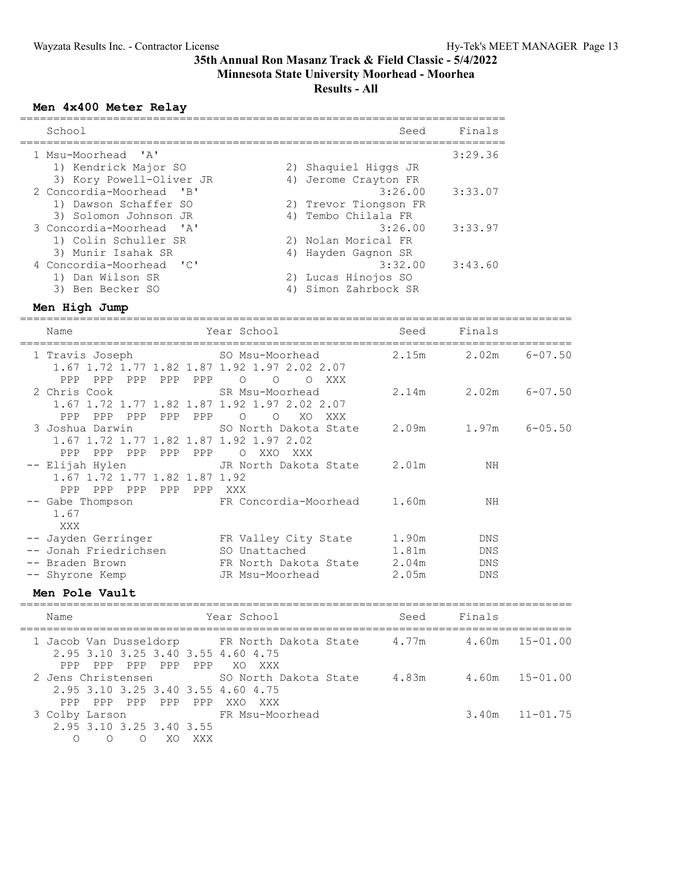### **Results - All**

#### **Men 4x400 Meter Relay**

| School             |                          | Seed                  | Finals  |
|--------------------|--------------------------|-----------------------|---------|
| 1 Msu-Moorhead 'A' |                          |                       | 3:29.36 |
|                    | 1) Kendrick Major SO     | 2) Shaquiel Higgs JR  |         |
|                    | 3) Kory Powell-Oliver JR | 4) Jerome Crayton FR  |         |
|                    | 2 Concordia-Moorhead 'B' | 3:26.00               | 3:33.07 |
|                    | 1) Dawson Schaffer SO    | 2) Trevor Tiongson FR |         |
|                    | 3) Solomon Johnson JR    | 4) Tembo Chilala FR   |         |
|                    | 3 Concordia-Moorhead 'A' | 3:26.00               | 3:33.97 |
|                    | 1) Colin Schuller SR     | 2) Nolan Morical FR   |         |
|                    | 3) Munir Isahak SR       | 4) Hayden Gagnon SR   |         |
|                    | 4 Concordia-Moorhead 'C' | 3:32.00               | 3:43.60 |
|                    | 1) Dan Wilson SR         | 2) Lucas Hinojos SO   |         |
|                    | 3) Ben Becker SO         | 4) Simon Zahrbock SR  |         |

#### **Men High Jump**

=================================================================================== Name Seed Finals (Name Seed Finals Seed Finals =================================================================================== 1 Travis Joseph SO Msu-Moorhead 1.67 1.72 1.77 1.82 1.87 1.92 1.97 2.02 2.07 PPP PPP PPP PPP PPP O O O XXX 2 Chris Cook SR Msu-Moorhead 2.14m 2.02m 6-07.50 1.67 1.72 1.77 1.82 1.87 1.92 1.97 2.02 2.07 PPP PPP PPP PPP PPP O O XO XXX 3 Joshua Darwin SO North Dakota State 2.09m 1.97m 6-05.50 1.67 1.72 1.77 1.82 1.87 1.92 1.97 2.02 PPP PPP PPP PPP PPP O XXO XXX -- Elijah Hylen JR North Dakota State 2.01m NH 1.67 1.72 1.77 1.82 1.87 1.92 PPP PPP PPP PPP PPP XXX -- Gabe Thompson FR Concordia-Moorhead 1.60m NH 1.67 XXX -- Jayden Gerringer TR Valley City State 1.90m DNS -- Jonah Friedrichsen SO Unattached 1.81m DNS -- Braden Brown FR North Dakota State 2.04m DNS -- Shyrone Kemp JR Msu-Moorhead 2.05m DNS **Men Pole Vault** ===================================================================================

Name Tear School Seed Finals =================================================================================== 1 Jacob Van Dusseldorp FR North Dakota State 4.77m 4.60m 15-01.00 2.95 3.10 3.25 3.40 3.55 4.60 4.75 PPP PPP PPP PPP PPP XO XXX 2 Jens Christensen SO North Dakota State 4.83m 4.60m 15-01.00 2.95 3.10 3.25 3.40 3.55 4.60 4.75 PPP PPP PPP PPP PPP XXO XXX 3 Colby Larson FR Msu-Moorhead 3.40m 11-01.75 2.95 3.10 3.25 3.40 3.55 O O O XO XXX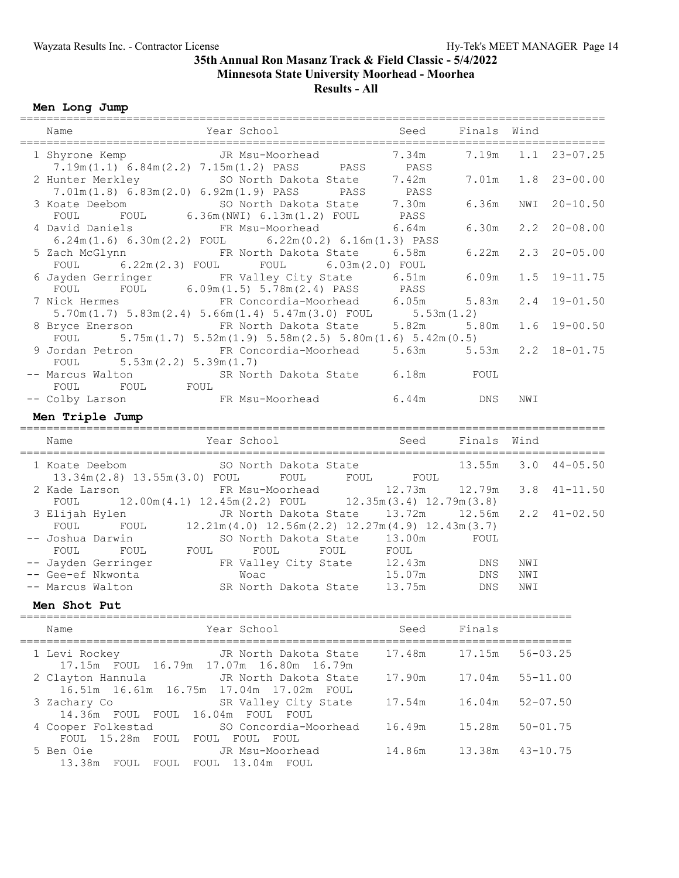### **Men Long Jump**

| Name                                                                                                                                                                                         | =============<br>Year School Seed                                                        |        | Finals Wind |              |                    |
|----------------------------------------------------------------------------------------------------------------------------------------------------------------------------------------------|------------------------------------------------------------------------------------------|--------|-------------|--------------|--------------------|
|                                                                                                                                                                                              |                                                                                          |        | 7.19m       | 1.1          | $23 - 07.25$       |
| 1 Shyrone Kemp JR Msu-Moorhead 7.34m<br>7.19m(1.1) 6.84m(2.2) 7.15m(1.2) PASS PASS PASS PASS 2 Hunter Merkley SO North Dakota State 7.42m<br>7.01m(1.8) 6.83m(2.0) 6.92m(1.9) PASS PASS PASS |                                                                                          |        | 7.01m       |              | $1.8$ $23-00.00$   |
| 3 Koate Deebom<br>FOUL                                                                                                                                                                       | SO North Dakota State 7.30m<br>FOUL 6.36m (NWI) 6.13m (1.2) FOUL PASS                    |        | 6.36m       | NWI          | $20 - 10.50$       |
| 4 David Daniels FR Msu-Moorhead 6.64m<br>$6.24$ m $(1.6)$ $6.30$ m $(2.2)$ FOUL $6.22$ m $(0.2)$ $6.16$ m $(1.3)$ PASS                                                                       |                                                                                          |        | 6.30m       |              | $2.2$ $20-08.00$   |
| 5 Zach McGlynn<br>FOUL                                                                                                                                                                       | FR North Dakota State 6.58m 6.22m<br>$6.22m(2.3)$ FOUL FOUL $6.03m(2.0)$ FOUL            |        |             |              | $2.3$ $20-05.00$   |
| 6 Jayden Gerringer FR Valley City State 6.51m 6.09m<br>FOUL FOUL 6.09m(1.5) 5.78m(2.4) PASS PASS                                                                                             |                                                                                          |        |             | 1.5          | $19 - 11.75$       |
| 7 Nick Hermes FR Concordia-Moorhead 6.05m 5.83m                                                                                                                                              |                                                                                          |        |             |              | $2.4$ 19-01.50     |
| 5.70m(1.7) 5.83m(2.4) 5.66m(1.4) 5.47m(3.0) FOUL 5.53m(1.2)<br>Bryce Enerson FR North Dakota State 5.82m 5.80m<br>8 Bryce Enerson<br>FOUL                                                    | $5.75m(1.7)$ $5.52m(1.9)$ $5.58m(2.5)$ $5.80m(1.6)$ $5.42m(0.5)$                         |        |             |              | $1.6$ 19-00.50     |
| 9 Jordan Petron<br>5.53m(2.2) 5.39m(1.7)<br>FOUL                                                                                                                                             | FR Concordia-Moorhead 5.63m 5.53m                                                        |        |             |              | $2.2$ 18-01.75     |
| -- Marcus Walton<br>FOUL<br>FOUL FOUL                                                                                                                                                        | SR North Dakota State 6.18m FOUL                                                         |        |             |              |                    |
| -- Colby Larson         FR Msu-Moorhead         6.44m     DNS<br>Men Triple Jump                                                                                                             |                                                                                          |        |             | NWI          |                    |
|                                                                                                                                                                                              |                                                                                          |        |             |              |                    |
| Name                                                                                                                                                                                         | Year School                                                                              | Seed   | Finals Wind |              |                    |
| 1 Koate Deebom 50 North Dakota State 13.55m 3.0 44-05.50<br>13.34m(2.8) 13.55m(3.0) FOUL FOUL FOUL FOUL FOUL                                                                                 |                                                                                          |        |             |              |                    |
| 2 Kade Larson FR Msu-Moorhead 12.73m<br>FOUL                                                                                                                                                 | $12.00\text{m}(4.1)$ $12.45\text{m}(2.2)$ FOUL $12.35\text{m}(3.4)$ $12.79\text{m}(3.8)$ |        | 12.79m      |              | $3.8$ $41 - 11.50$ |
|                                                                                                                                                                                              |                                                                                          |        |             |              | $2.2$ $41-02.50$   |
| 3 Elijah Hylen JR North Dakota State 13.72m 12.56m<br>FOUL FOUL 12.21m(4.0) 12.56m(2.2) 12.27m(4.9) 12.43m(3.7)<br>FOUL FOUL FOUL FOUL FOUL FOUL FOUL FOUL<br>-- Joshua Darwin               |                                                                                          |        |             |              |                    |
| -- Jayden Gerringer FR Valley City State 12.43m DNS<br>-- Gee-ef Nkwonta Moac 15.07m DNS                                                                                                     |                                                                                          |        |             | NWI          |                    |
| -- Marcus Walton                                                                                                                                                                             | SR North Dakota State 13.75m DNS                                                         |        |             | NWI<br>NWI   |                    |
| Men Shot Put                                                                                                                                                                                 |                                                                                          |        |             |              |                    |
| Name                                                                                                                                                                                         | Year School                                                                              | Seed   | Finals      |              |                    |
| 1 Levi Rockey<br>17.15m FOUL 16.79m 17.07m 16.80m 16.79m                                                                                                                                     | JR North Dakota State                                                                    | 17.48m | 17.15m      |              | $56 - 03.25$       |
| 2 Clayton Hannula<br>16.51m  16.61m  16.75m  17.04m  17.02m  FOUL                                                                                                                            | JR North Dakota State                                                                    | 17.90m | 17.04m      | $55 - 11.00$ |                    |
| 3 Zachary Co<br>14.36m FOUL FOUL 16.04m FOUL FOUL                                                                                                                                            | SR Valley City State                                                                     | 17.54m | 16.04m      | $52 - 07.50$ |                    |
| 4 Cooper Folkestad<br>FOUL 15.28m FOUL FOUL FOUL FOUL                                                                                                                                        | SO Concordia-Moorhead                                                                    | 16.49m | 15.28m      | $50 - 01.75$ |                    |
| 5 Ben Oie<br>13.38m FOUL FOUL FOUL 13.04m FOUL                                                                                                                                               | JR Msu-Moorhead                                                                          | 14.86m | 13.38m      |              | $43 - 10.75$       |